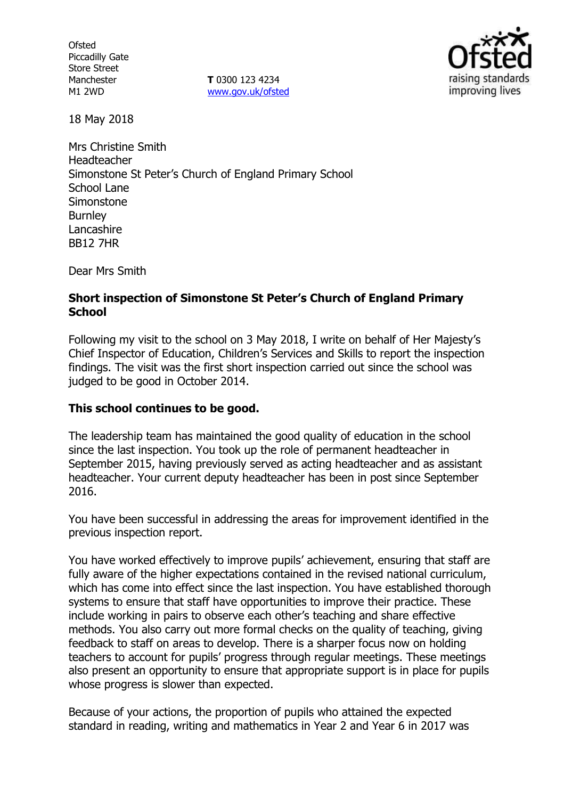**Ofsted** Piccadilly Gate Store Street Manchester M1 2WD

**T** 0300 123 4234 www.gov.uk/ofsted



18 May 2018

Mrs Christine Smith Headteacher Simonstone St Peter's Church of England Primary School School Lane Simonstone **Burnley** Lancashire BB12 7HR

Dear Mrs Smith

### **Short inspection of Simonstone St Peter's Church of England Primary School**

Following my visit to the school on 3 May 2018, I write on behalf of Her Majesty's Chief Inspector of Education, Children's Services and Skills to report the inspection findings. The visit was the first short inspection carried out since the school was judged to be good in October 2014.

# **This school continues to be good.**

The leadership team has maintained the good quality of education in the school since the last inspection. You took up the role of permanent headteacher in September 2015, having previously served as acting headteacher and as assistant headteacher. Your current deputy headteacher has been in post since September 2016.

You have been successful in addressing the areas for improvement identified in the previous inspection report.

You have worked effectively to improve pupils' achievement, ensuring that staff are fully aware of the higher expectations contained in the revised national curriculum, which has come into effect since the last inspection. You have established thorough systems to ensure that staff have opportunities to improve their practice. These include working in pairs to observe each other's teaching and share effective methods. You also carry out more formal checks on the quality of teaching, giving feedback to staff on areas to develop. There is a sharper focus now on holding teachers to account for pupils' progress through regular meetings. These meetings also present an opportunity to ensure that appropriate support is in place for pupils whose progress is slower than expected.

Because of your actions, the proportion of pupils who attained the expected standard in reading, writing and mathematics in Year 2 and Year 6 in 2017 was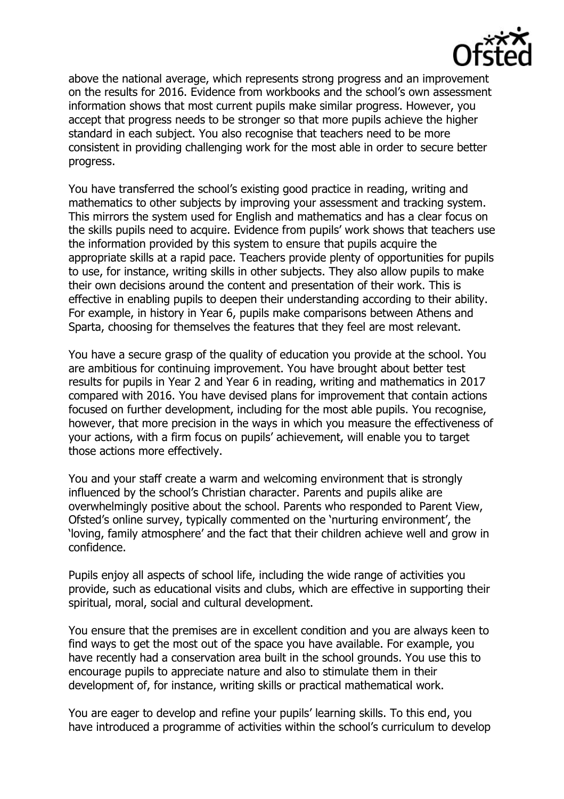

above the national average, which represents strong progress and an improvement on the results for 2016. Evidence from workbooks and the school's own assessment information shows that most current pupils make similar progress. However, you accept that progress needs to be stronger so that more pupils achieve the higher standard in each subject. You also recognise that teachers need to be more consistent in providing challenging work for the most able in order to secure better progress.

You have transferred the school's existing good practice in reading, writing and mathematics to other subjects by improving your assessment and tracking system. This mirrors the system used for English and mathematics and has a clear focus on the skills pupils need to acquire. Evidence from pupils' work shows that teachers use the information provided by this system to ensure that pupils acquire the appropriate skills at a rapid pace. Teachers provide plenty of opportunities for pupils to use, for instance, writing skills in other subjects. They also allow pupils to make their own decisions around the content and presentation of their work. This is effective in enabling pupils to deepen their understanding according to their ability. For example, in history in Year 6, pupils make comparisons between Athens and Sparta, choosing for themselves the features that they feel are most relevant.

You have a secure grasp of the quality of education you provide at the school. You are ambitious for continuing improvement. You have brought about better test results for pupils in Year 2 and Year 6 in reading, writing and mathematics in 2017 compared with 2016. You have devised plans for improvement that contain actions focused on further development, including for the most able pupils. You recognise, however, that more precision in the ways in which you measure the effectiveness of your actions, with a firm focus on pupils' achievement, will enable you to target those actions more effectively.

You and your staff create a warm and welcoming environment that is strongly influenced by the school's Christian character. Parents and pupils alike are overwhelmingly positive about the school. Parents who responded to Parent View, Ofsted's online survey, typically commented on the 'nurturing environment', the 'loving, family atmosphere' and the fact that their children achieve well and grow in confidence.

Pupils enjoy all aspects of school life, including the wide range of activities you provide, such as educational visits and clubs, which are effective in supporting their spiritual, moral, social and cultural development.

You ensure that the premises are in excellent condition and you are always keen to find ways to get the most out of the space you have available. For example, you have recently had a conservation area built in the school grounds. You use this to encourage pupils to appreciate nature and also to stimulate them in their development of, for instance, writing skills or practical mathematical work.

You are eager to develop and refine your pupils' learning skills. To this end, you have introduced a programme of activities within the school's curriculum to develop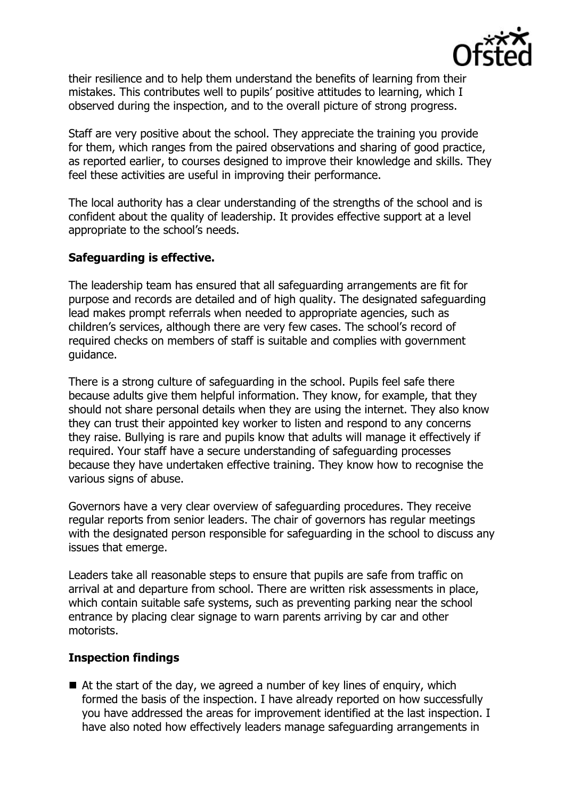

their resilience and to help them understand the benefits of learning from their mistakes. This contributes well to pupils' positive attitudes to learning, which I observed during the inspection, and to the overall picture of strong progress.

Staff are very positive about the school. They appreciate the training you provide for them, which ranges from the paired observations and sharing of good practice, as reported earlier, to courses designed to improve their knowledge and skills. They feel these activities are useful in improving their performance.

The local authority has a clear understanding of the strengths of the school and is confident about the quality of leadership. It provides effective support at a level appropriate to the school's needs.

## **Safeguarding is effective.**

The leadership team has ensured that all safeguarding arrangements are fit for purpose and records are detailed and of high quality. The designated safeguarding lead makes prompt referrals when needed to appropriate agencies, such as children's services, although there are very few cases. The school's record of required checks on members of staff is suitable and complies with government guidance.

There is a strong culture of safeguarding in the school. Pupils feel safe there because adults give them helpful information. They know, for example, that they should not share personal details when they are using the internet. They also know they can trust their appointed key worker to listen and respond to any concerns they raise. Bullying is rare and pupils know that adults will manage it effectively if required. Your staff have a secure understanding of safeguarding processes because they have undertaken effective training. They know how to recognise the various signs of abuse.

Governors have a very clear overview of safeguarding procedures. They receive regular reports from senior leaders. The chair of governors has regular meetings with the designated person responsible for safeguarding in the school to discuss any issues that emerge.

Leaders take all reasonable steps to ensure that pupils are safe from traffic on arrival at and departure from school. There are written risk assessments in place, which contain suitable safe systems, such as preventing parking near the school entrance by placing clear signage to warn parents arriving by car and other motorists.

### **Inspection findings**

 $\blacksquare$  At the start of the day, we agreed a number of key lines of enguiry, which formed the basis of the inspection. I have already reported on how successfully you have addressed the areas for improvement identified at the last inspection. I have also noted how effectively leaders manage safeguarding arrangements in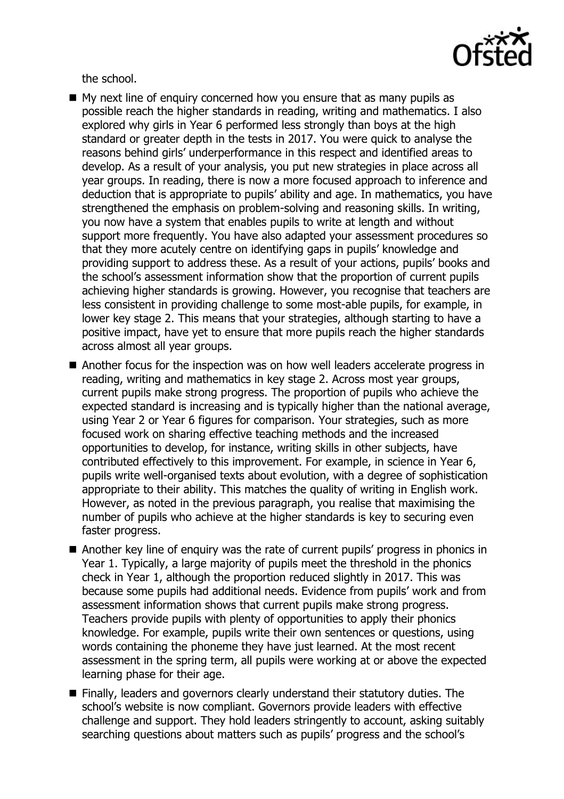

the school.

- $\blacksquare$  My next line of enquiry concerned how you ensure that as many pupils as possible reach the higher standards in reading, writing and mathematics. I also explored why girls in Year 6 performed less strongly than boys at the high standard or greater depth in the tests in 2017. You were quick to analyse the reasons behind girls' underperformance in this respect and identified areas to develop. As a result of your analysis, you put new strategies in place across all year groups. In reading, there is now a more focused approach to inference and deduction that is appropriate to pupils' ability and age. In mathematics, you have strengthened the emphasis on problem-solving and reasoning skills. In writing, you now have a system that enables pupils to write at length and without support more frequently. You have also adapted your assessment procedures so that they more acutely centre on identifying gaps in pupils' knowledge and providing support to address these. As a result of your actions, pupils' books and the school's assessment information show that the proportion of current pupils achieving higher standards is growing. However, you recognise that teachers are less consistent in providing challenge to some most-able pupils, for example, in lower key stage 2. This means that your strategies, although starting to have a positive impact, have yet to ensure that more pupils reach the higher standards across almost all year groups.
- Another focus for the inspection was on how well leaders accelerate progress in reading, writing and mathematics in key stage 2. Across most year groups, current pupils make strong progress. The proportion of pupils who achieve the expected standard is increasing and is typically higher than the national average, using Year 2 or Year 6 figures for comparison. Your strategies, such as more focused work on sharing effective teaching methods and the increased opportunities to develop, for instance, writing skills in other subjects, have contributed effectively to this improvement. For example, in science in Year 6, pupils write well-organised texts about evolution, with a degree of sophistication appropriate to their ability. This matches the quality of writing in English work. However, as noted in the previous paragraph, you realise that maximising the number of pupils who achieve at the higher standards is key to securing even faster progress.
- Another key line of enguiry was the rate of current pupils' progress in phonics in Year 1. Typically, a large majority of pupils meet the threshold in the phonics check in Year 1, although the proportion reduced slightly in 2017. This was because some pupils had additional needs. Evidence from pupils' work and from assessment information shows that current pupils make strong progress. Teachers provide pupils with plenty of opportunities to apply their phonics knowledge. For example, pupils write their own sentences or questions, using words containing the phoneme they have just learned. At the most recent assessment in the spring term, all pupils were working at or above the expected learning phase for their age.
- Finally, leaders and governors clearly understand their statutory duties. The school's website is now compliant. Governors provide leaders with effective challenge and support. They hold leaders stringently to account, asking suitably searching questions about matters such as pupils' progress and the school's